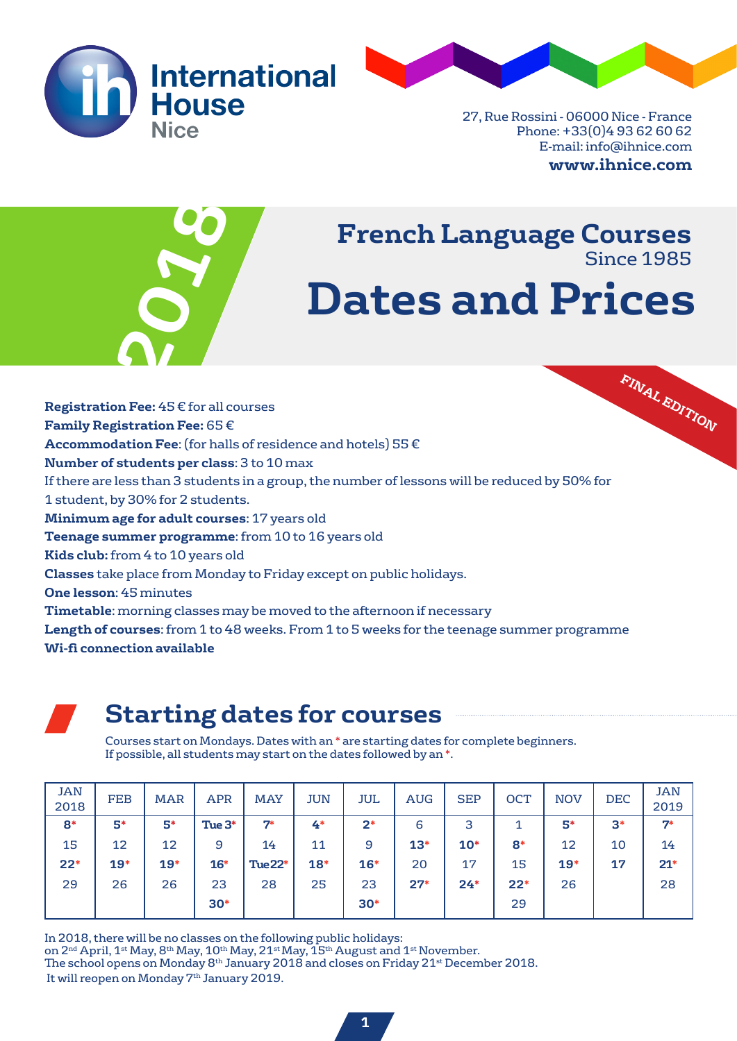



27, Rue Rossini - 06000 Nice - France Phone: +33(0)4 93 62 60 62 E-mail: info@ihnice.com **www.ihnice.com**



# **Dates and Prices French Language Courses** Since 1985

**FINAL EDITION Registration Fee:** 45 € for all courses **Family Registration Fee:** 65 € **Accommodation Fee**: (for halls of residence and hotels) 55 € **Number of students per class**: 3 to 10 max If there are less than 3 students in a group, the number of lessons will be reduced by 50% for 1 student, by 30% for 2 students. **Minimum age for adult courses**: 17 years old **Teenage summer programme**: from 10 to 16 years old **Kids club:** from 4 to 10 years old **Classes** take place from Monday to Friday except on public holidays. **One lesson**: 45 minutes **Timetable**: morning classes may be moved to the afternoon if necessary **Length of courses**: from 1 to 48 weeks. From 1 to 5 weeks for the teenage summer programme **Wi-fi connection available**



## **Starting dates for courses**

Courses start on Mondays. Dates with an \* are starting dates for complete beginners. If possible, all students may start on the dates followed by an \*.

| <b>JAN</b><br>2018 | <b>FEB</b> | <b>MAR</b> | <b>APR</b> | <b>MAY</b> | JUN   | JUL   | AUG   | <b>SEP</b> | <b>OCT</b> | <b>NOV</b> | <b>DEC</b> | JAN<br>2019 |
|--------------------|------------|------------|------------|------------|-------|-------|-------|------------|------------|------------|------------|-------------|
| $8*$               | 5*         | 5*         | Tue $3*$   | 7*         | 4*    | $2*$  | 6     | 3          |            | 5*         | $3*$       | $7*$        |
| 15                 | 12         | 12         | 9          | 14         | 11    | 9     | $13*$ | $10*$      | $8*$       | 12         | 10         | 14          |
| $22*$              | $19*$      | $19*$      | $16*$      | Tue22*     | $18*$ | $16*$ | 20    | 17         | 15         | $19*$      | 17         | $21*$       |
| 29                 | 26         | 26         | 23         | 28         | 25    | 23    | $27*$ | $24*$      | $22*$      | 26         |            | 28          |
|                    |            |            | $30*$      |            |       | $30*$ |       |            | 29         |            |            |             |

In 2018, there will be no classes on the following public holidays: on  $2^{\rm nd}$  April, 1st May, 8th May, 10th May, 21st May, 15th August and 1st November. The school opens on Monday 8th January 2018 and closes on Friday 21st December 2018. It will reopen on Monday 7<sup>th</sup> January 2019.

**1**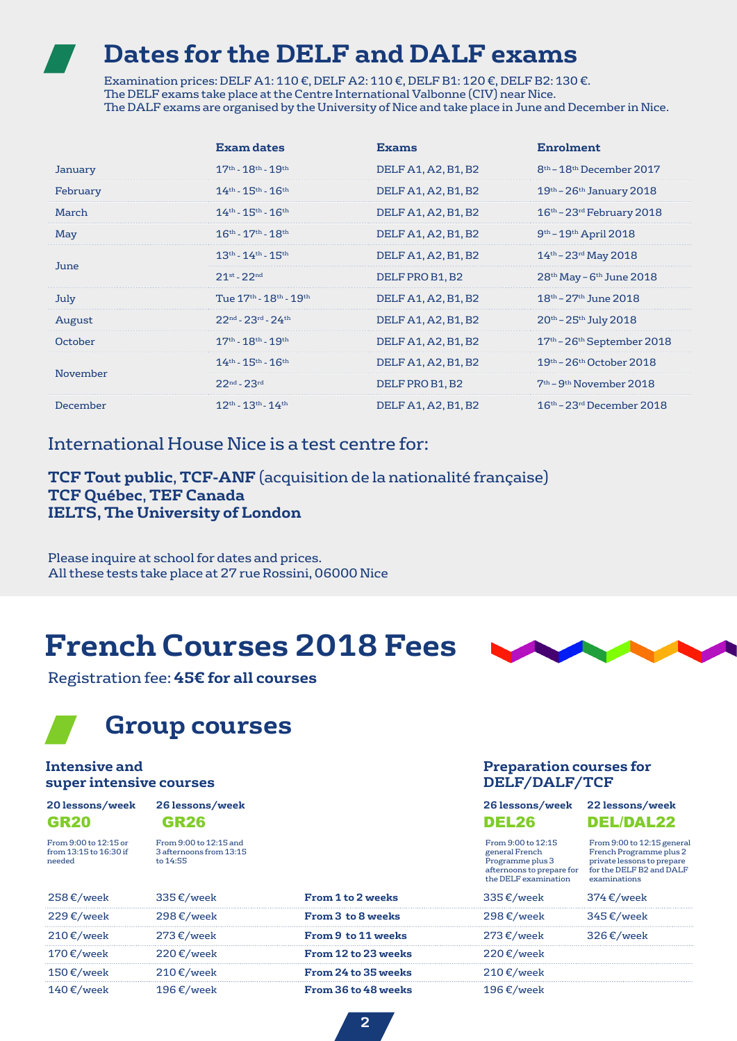## **Dates for the DELF and DALF exams**

Examination prices: DELF A1: 110 €, DELF A2: 110 €, DELF B1: 120 €, DELF B2: 130 €. The DELF exams take place at the Centre International Valbonne (CIV) near Nice. The DALF exams are organised by the University of Nice and take place in June and December in Nice.

|                 | Exam dates                                         | <b>Exams</b>        | <b>Enrolment</b>                                 |
|-----------------|----------------------------------------------------|---------------------|--------------------------------------------------|
| January         | $17^{\text{th}} - 18^{\text{th}} - 19^{\text{th}}$ | DELF A1, A2, B1, B2 | 8 <sup>th</sup> – 18 <sup>th</sup> December 2017 |
| February        | $14^{\text{th}} - 15^{\text{th}} - 16^{\text{th}}$ | DELF A1, A2, B1, B2 | $19th - 26th$ January 2018                       |
| March           | $14^{\text{th}} - 15^{\text{th}} - 16^{\text{th}}$ | DELF A1, A2, B1, B2 | $16th - 23rd$ February 2018                      |
| May             | $16^{\text{th}} - 17^{\text{th}} - 18^{\text{th}}$ | DELF A1, A2, B1, B2 | $9th - 19th$ April 2018                          |
| June            | $13^{\text{th}} - 14^{\text{th}} - 15^{\text{th}}$ | DELF A1, A2, B1, B2 | $14^{th}$ – 23 <sup>rd</sup> May 2018            |
|                 | $21^{st} - 22^{nd}$                                | DELF PRO B1, B2     | $28th$ May - $6th$ June 2018                     |
| July            | Tue 17th - 18th - 19th                             | DELF A1, A2, B1, B2 | $18^{\text{th}}$ – 27 <sup>th</sup> June 2018    |
| August          | $22^{nd}$ - $23^{rd}$ - $24^{th}$                  | DELF A1, A2, B1, B2 | $20^{th}$ – $25^{th}$ July 2018                  |
| October         | $17^{\text{th}} - 18^{\text{th}} - 19^{\text{th}}$ | DELF A1, A2, B1, B2 | $17th - 26th$ September 2018                     |
| November        | $14^{th}$ - $15^{th}$ - $16^{th}$                  | DELF A1, A2, B1, B2 | $19th$ – 26 <sup>th</sup> October 2018           |
|                 | $22^{nd} - 23^{rd}$                                | DELF PRO B1, B2     | $7th$ – 9 <sup>th</sup> November 2018            |
| <b>December</b> | $12^{th} - 13^{th} - 14^{th}$                      | DELF A1, A2, B1, B2 | $16th$ – 23 <sup>rd</sup> December 2018          |

### International House Nice is a test centre for:

**TCF Tout public**, **TCF-ANF** (acquisition de la nationalité française) **TCF Québec**, **TEF Canada IELTS, The University of London**

Please inquire at school for dates and prices. All these tests take place at 27 rue Rossini, 06000 Nice

# **French Courses 2018 Fees**



## **Group courses**

### **Intensive and super intensive courses**

| 20 lessons/week |  |
|-----------------|--|
| <b>GR20</b>     |  |

From 9:00 to 12:15 or from 13:15 to 16:30 if needed

From 9:00 to 12:15 and 3 afternoons from 13:15 to 14:55

### **Preparation courses for DELF/DALF/TCF**

| 26 lessons/week | 26 lessons/week 22 lessons/week |                  |
|-----------------|---------------------------------|------------------|
| <b>GR26</b>     | <b>DEL26</b>                    | <b>DEL/DAL22</b> |

From 9:00 to 12:15 general French Programme plus 3

From 9:00 to 12:15 general French Programme plus 2 private lessons to prepare for the DELF B2 and DALF examinations

|                      |                      |                     | the DELF examination | afternoons to prepare for for the DELF B2 and DALF<br>examinations |
|----------------------|----------------------|---------------------|----------------------|--------------------------------------------------------------------|
| 258 €/week           | 335€/week            | From 1 to 2 weeks   | 335€/week            | $374 \text{ E/week}$                                               |
| 229 €/week           | 298 €/week           | From 3 to 8 weeks   | $298 \text{ E/week}$ | $345 \text{ E/week}$                                               |
| $210 \text{ E/week}$ | 273 €/week           | From 9 to 11 weeks  | 273 €/week           | 326 $\varepsilon$ /week                                            |
| $170 \text{ E/week}$ | $220 \text{ E/week}$ | From 12 to 23 weeks | $220 \text{ E/week}$ |                                                                    |
| 150 €/week           | $210 \text{ E/week}$ | From 24 to 35 weeks | 210 €/week           |                                                                    |
| $140 \text{ E/week}$ | 196 $\epsilon$ /week | From 36 to 48 weeks | 196 €/week           |                                                                    |

**2**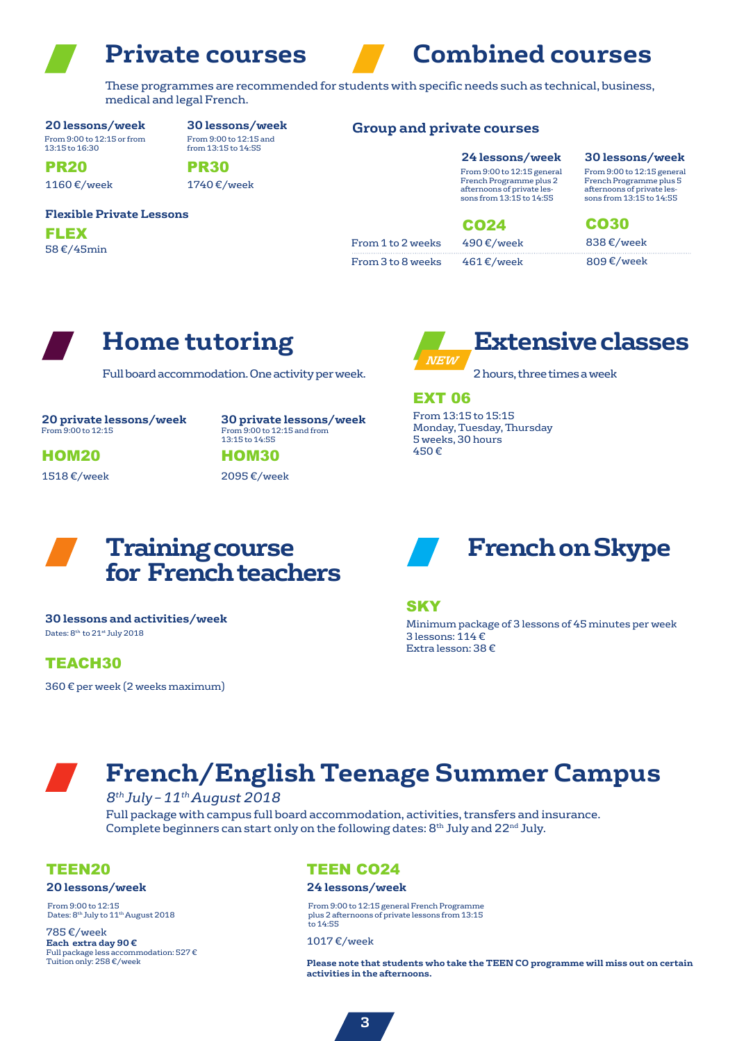

afternoons of private lessons from 13:15 to 14:55

These programmes are recommended for students with specific needs such as technical, business, medical and legal French.

**20 lessons/week** From 9:00 to 12:15 or from

13:15 to 16:30

**30 lessons/week** From 9:00 to 12:15 and from 13:15 to 14:55

### **Group and private courses**

1740 €/week PR30

### **Flexible Private Lessons**

58 €/45min FLEX

1160 €/week

PR20

From 1 to 2 weeks From 3 to 8 weeks

**24 lessons/week** From 9:00 to 12:15 general From 9:00 to 12:15 general French Programme plus 2 **30 lessons/week**

French Programme plus 5 afternoons of private les-sons from 13:15 to 14:55

490 €/week 838 €/week CO24 CO30

461 €/week 809 €/week



## **Home tutoring**

Full board accommodation. One activity per week.

**20 private lessons/week** From 9:00 to 12:15

**30 private lessons/week** From 9:00 to 12:15 and from 13:15 to 14:55

1518 €/week HOM<sub>20</sub>

2095 €/week **HOM30** 



# **Extensive classes**

2 hours, three times a week

EXT 06

From 13:15 to 15:15 Monday, Tuesday, Thursday 5 weeks, 30 hours 450 €



Dates: 8<sup>th</sup> to 21<sup>st</sup> July 2018 **30 lessons and activities/week**

TEACH30

360 € per week (2 weeks maximum)



**SKY** 

Minimum package of 3 lessons of 45 minutes per week 3 lessons:  $114 \in$ Extra lesson: 38 €

# **French/English Teenage Summer Campus**

### *8th July – 11th August 2018*

Full package with campus full board accommodation, activities, transfers and insurance. Complete beginners can start only on the following dates:  $8<sup>th</sup>$  July and 22<sup>nd</sup> July.

### TEEN20

### **20 lessons/week**

From 9:00 to 12:15 Dates: 8<sup>th</sup> July to 11<sup>th</sup> August 2018

785 €/week **Each extra day 90 €** Full package less accommodation: 527 € Tuition only: 258 €/week

### TEEN CO24

### **24 lessons/week**

From 9:00 to 12:15 general French Programme plus 2 afternoons of private lessons from 13:15 to 14:55

1017 €/week

**Please note that students who take the TEEN CO programme will miss out on certain activities in the afternoons.**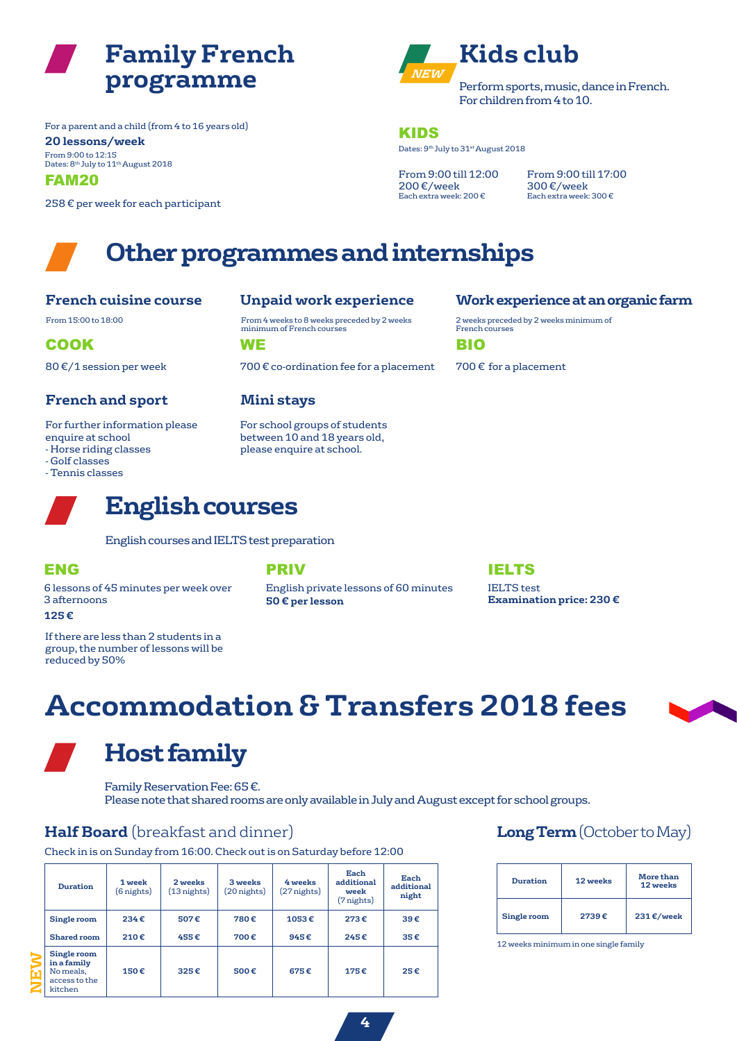

From 9:00 to 12:15 Dates: 8<sup>th</sup> July to 11<sup>th</sup> August 2018 **20 lessons/week** For a parent and a child (from 4 to 16 years old)

FAM20

258 € per week for each participant



Dates: 9<sup>th</sup> July to 31<sup>st</sup> August 2018 KIDS

From 9:00 till 12:00 200 €/week Each extra week: 200 €

From 9:00 till 17:00 300 €/week Each extra week: 300 €

## **Other programmes and internships**

### **French cuisine course**

80 €/1 session per week

### **French and sport Mini stays**

For further information please enquire at school

- Horse riding classes
- Golf classes
- Tennis classes

From 15:00 to 18:00 From 4 weeks to 8 weeks preceded by 2 weeks minimum of French courses

COOK WE BIO

700  $\epsilon$  co-ordination fee for a placement 700  $\epsilon$  for a placement

For school groups of students between 10 and 18 years old, please enquire at school.

### **Unpaid work experience Work experience at an organic farm**

2 weeks preceded by 2 weeks minimum of French courses

# **English courses**

English courses and IELTS test preparation

6 lessons of 45 minutes per week over 3 afternoons

### **125 €**

If there are less than 2 students in a group, the number of lessons will be reduced by 50%

English private lessons of 60 minutes IELTS test **50 € per lesson**

### ENG PRIV IELTS

**Examination price: 230 €**

# **Accommodation & Transfers 2018 fees**



**Host family**

## Family Reservation Fee: 65€.

Please note that shared rooms are only available in July and August except for school groups.

### **Half Board** (breakfast and dinner) **Long Term** (October to May)

Check in is on Sunday from 16:00. Check out is on Saturday before 12:00

| <b>Duration</b>                                                     | 1 week<br>(6 nights) | 2 weeks<br>$(13$ nights) | 3 weeks<br>(20 nights) | 4 weeks<br>(27 nights) | Each<br>additional<br>week<br>(7 nights) | Each<br>additional<br>night |
|---------------------------------------------------------------------|----------------------|--------------------------|------------------------|------------------------|------------------------------------------|-----------------------------|
| Single room                                                         | 234€                 | 507€                     | 780€                   | 1053€                  | 273€                                     | 39€                         |
| Shared room                                                         | 210€                 | 455€                     | 700€                   | 945€                   | 245€                                     | 35€                         |
| Single room<br>in a family<br>No meals,<br>access to the<br>kitchen | 150€                 | 325€                     | 500€                   | 675€                   | 175€                                     | 25€                         |

| <b>Duration</b> | 12 weeks | <b>More than</b><br>12 weeks |
|-----------------|----------|------------------------------|
| Single room     | 2739€    | 231€/week                    |

12 weeks minimum in one single family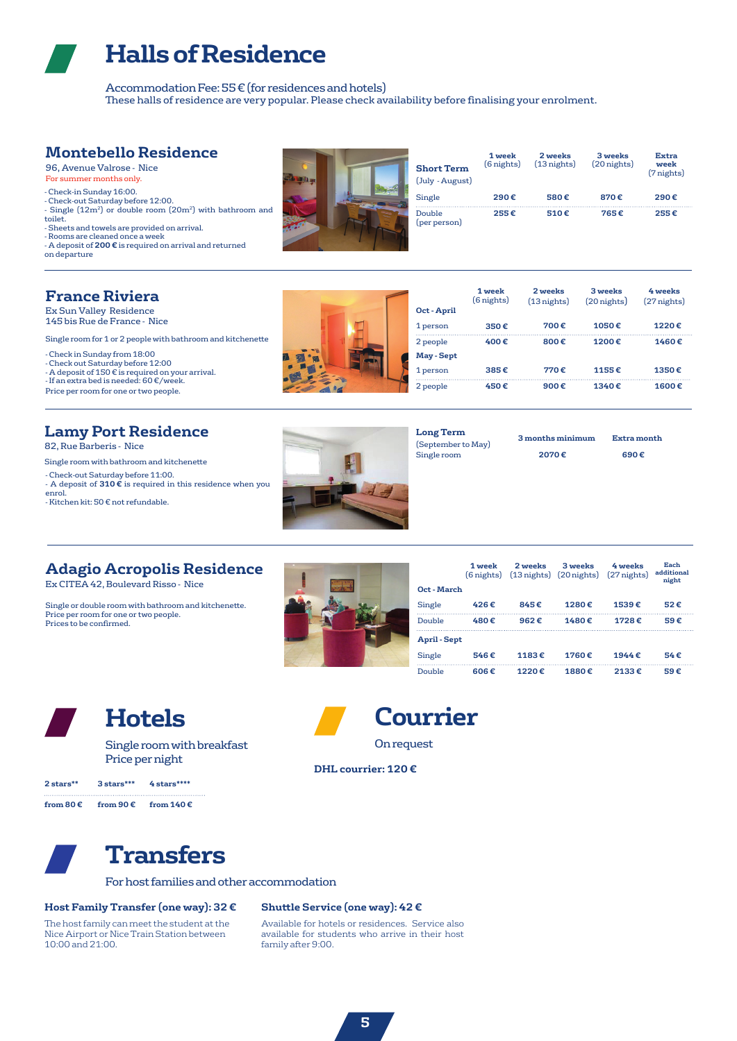## **Halls of Residence**

Accommodation Fee: 55€ (for residences and hotels) These halls of residence are very popular. Please check availability before finalising your enrolment.

### **Montebello Residence**

96, Avenue Valrose - Nice For summer months only.

- Check-in Sunday 16:00.

- Check-out Saturday before 12:00. - Single (12m<sup>2</sup>) or double room (20m<sup>2</sup>) with bathroom and toilet.

- Sheets and towels are provided on arrival.

- Rooms are cleaned once a week

- A deposit of **200 €** is required on arrival and returned on departure

| <b>Short Term</b><br>(July - August) | 1 week<br>$(6$ nights) | 2 weeks<br>$(13$ nights) | 3 weeks<br>$(20$ nights) | Extra<br>week<br>(7 nights) |
|--------------------------------------|------------------------|--------------------------|--------------------------|-----------------------------|
| Single                               | 290€                   | 580€                     | 870€                     | 290€                        |
| Double<br>(per person)               | 255€                   | $510 \in$                | 765f                     | 255€                        |

### **France Riviera**

Ex Sun Valley Residence 145 bis Rue de France - Nice

Single room for 1 or 2 people with bathroom and kitchenette

- Check in Sunday from 18:00

- Check out Saturday before 12:00 - A deposit of 150 € is required on your arrival.

- If an extra bed is needed: 60 €/week.



## **Lamy Port Residence**

82, Rue Barberis - Nice

- Check-out Saturday before 11:00. - A deposit of **310 €** is required in this residence when you enrol.

- Kitchen kit: 50 € not refundable.



| Oct - April     | 1 week<br>$(6$ nights) | 2 weeks<br>$(13$ nights) | 3 weeks<br>$(20$ nights) | 4 weeks<br>$(27$ nights) |
|-----------------|------------------------|--------------------------|--------------------------|--------------------------|
| 1 person        | 350€                   | 700€                     | 1050€                    | 1220€                    |
| 2 people        | 400 $\varepsilon$      | 800€                     | 1200 $\varepsilon$       | 1460 $\varepsilon$       |
| <b>May-Sept</b> |                        |                          |                          |                          |
| 1 person        | 385€                   | 770€                     | 1155€                    | 1350€                    |
| 2 people        | 450€                   | 900€                     | 1340 $\varepsilon$       | 1600€                    |



(September to May)

**3 months minimum Extra month Long Term**

### **Adagio Acropolis Residence**

Ex CITEA 42, Boulevard Risso - Nice

Single or double room with bathroom and kitchenette. Price per room for one or two people. Prices to be confirmed.



|                     | 1 week<br>(6 nights) | 2 weeks | 3 weeks<br>$(13 \text{ nights})$ $(20 \text{ nights})$ $(27 \text{ nights})$ | 4 weeks            | Each<br>additional<br>night |
|---------------------|----------------------|---------|------------------------------------------------------------------------------|--------------------|-----------------------------|
| Oct - March         |                      |         |                                                                              |                    |                             |
| Single              | 426€                 | 845€    | 1280€                                                                        | 1539€              | 52€                         |
| Double              | 480€                 | 962€    | 1480€                                                                        | 1728€              | 59€                         |
| <b>April - Sept</b> |                      |         |                                                                              |                    |                             |
| Single              | 546€                 | 1183€   | 1760€                                                                        | 1944 $\varepsilon$ | 54f                         |
| Double              | 606€                 | 1220€   | 1880€                                                                        | 2133€              | 59€                         |



## **Hotels Courrier**

Single room with breakfast Price per night

| 2 stars** | $3$ stars *** | $4$ stars **** |
|-----------|---------------|----------------|
|           |               |                |

**from 80 € from 90 € from 140 €**



## **Transfers**

For host families and other accommodation

### **Host Family Transfer (one way): 32 €**

The host family can meet the student at the Nice Airport or Nice Train Station between 10:00 and 21:00.

### **Shuttle Service (one way): 42 €**

Available for hotels or residences. Service also available for students who arrive in their host family after 9:00.

**DHL courrier: 120 €**

On request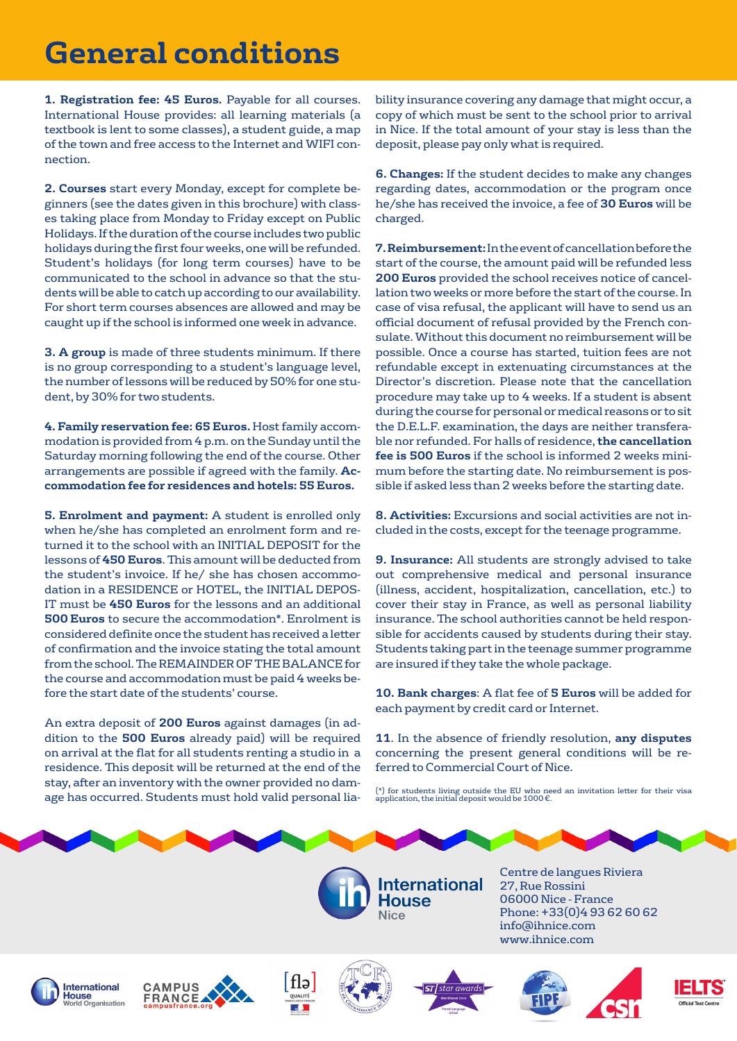# **General conditions**

**1. Registration fee: 45 Euros.** Payable for all courses. International House provides: all learning materials (a textbook is lent to some classes), a student guide, a map of the town and free access to the Internet and WIFI connection.

**2. Courses** start every Monday, except for complete beginners (see the dates given in this brochure) with classes taking place from Monday to Friday except on Public Holidays. If the duration of the course includes two public holidays during the first four weeks, one will be refunded. Student's holidays (for long term courses) have to be communicated to the school in advance so that the students will be able to catch up according to our availability. For short term courses absences are allowed and may be caught up if the school is informed one week in advance.

**3. A group** is made of three students minimum. If there is no group corresponding to a student's language level, the number of lessons will be reduced by 50% for one student, by 30% for two students.

**4. Family reservation fee: 65 Euros.** Host family accommodation is provided from 4 p.m. on the Sunday until the Saturday morning following the end of the course. Other arrangements are possible if agreed with the family. **Accommodation fee for residences and hotels: 55 Euros.**

**5. Enrolment and payment:** A student is enrolled only when he/she has completed an enrolment form and returned it to the school with an INITIAL DEPOSIT for the lessons of **450 Euros**. This amount will be deducted from the student's invoice. If he/ she has chosen accommodation in a RESIDENCE or HOTEL, the INITIAL DEPOS-IT must be **450 Euros** for the lessons and an additional **500 Euros** to secure the accommodation\*. Enrolment is considered definite once the student has received a letter of confirmation and the invoice stating the total amount from the school. The REMAINDER OF THE BALANCE for the course and accommodation must be paid 4 weeks before the start date of the students' course.

An extra deposit of **200 Euros** against damages (in addition to the **500 Euros** already paid) will be required on arrival at the flat for all students renting a studio in a residence. This deposit will be returned at the end of the stay, after an inventory with the owner provided no damage has occurred. Students must hold valid personal lia-

bility insurance covering any damage that might occur, a copy of which must be sent to the school prior to arrival in Nice. If the total amount of your stay is less than the deposit, please pay only what is required.

**6. Changes:** If the student decides to make any changes regarding dates, accommodation or the program once he/she has received the invoice, a fee of **30 Euros** will be charged.

**7. Reimbursement:** In the event of cancellation before the start of the course, the amount paid will be refunded less **200 Euros** provided the school receives notice of cancellation two weeks or more before the start of the course. In case of visa refusal, the applicant will have to send us an official document of refusal provided by the French consulate. Without this document no reimbursement will be possible. Once a course has started, tuition fees are not refundable except in extenuating circumstances at the Director's discretion. Please note that the cancellation procedure may take up to 4 weeks. If a student is absent during the course for personal or medical reasons or to sit the D.E.L.F. examination, the days are neither transferable nor refunded. For halls of residence, **the cancellation fee is 500 Euros** if the school is informed 2 weeks minimum before the starting date. No reimbursement is possible if asked less than 2 weeks before the starting date.

**8. Activities:** Excursions and social activities are not included in the costs, except for the teenage programme.

**9. Insurance:** All students are strongly advised to take out comprehensive medical and personal insurance (illness, accident, hospitalization, cancellation, etc.) to cover their stay in France, as well as personal liability insurance. The school authorities cannot be held responsible for accidents caused by students during their stay. Students taking part in the teenage summer programme are insured if they take the whole package.

**10. Bank charges**: A flat fee of **5 Euros** will be added for each payment by credit card or Internet.

**11**. In the absence of friendly resolution, **any disputes**  concerning the present general conditions will be referred to Commercial Court of Nice.

(\*) for students living outside the EU who need an invitation letter for their visa application, the initial deposit would be 1000 €.

nternational **House** 

Centre de langues Riviera 27, Rue Rossini 06000 Nice - France Phone: +33(0)4 93 62 60 62 info@ihnice.com www.ihnice.com









Nice



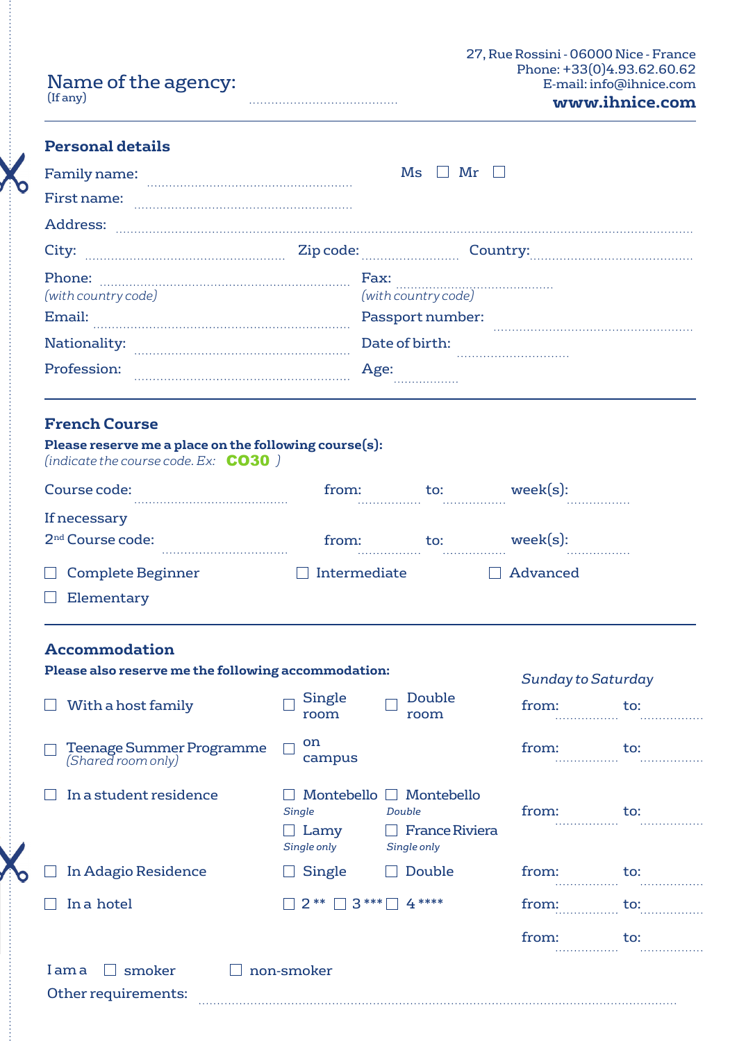|          | Name of the agency: |
|----------|---------------------|
| (If any) |                     |

| www.ihnice.com |  |  |
|----------------|--|--|
|                |  |  |
|                |  |  |

### **Personal details**

| Family name:                            | Mr<br>Ms                                        |
|-----------------------------------------|-------------------------------------------------|
| First name:                             |                                                 |
| <b>Address:</b>                         |                                                 |
| City:                                   | Zip code: Country:                              |
| Phone:<br>(with country code)<br>Email: | Fax:<br>(with country code)<br>Passport number: |
| Nationality:                            | Date of birth:                                  |
| Profession:                             | Age:<br>.                                       |

### **French Course**

| Please reserve me a place on the following course(s):<br>(indicate the course code. Ex: $CO30$ ) |              |          |               |
|--------------------------------------------------------------------------------------------------|--------------|----------|---------------|
| Course code:                                                                                     | from:<br>.   | to:<br>. | week(s):<br>. |
| If necessary                                                                                     |              |          |               |
| 2 <sup>nd</sup> Course code:                                                                     | from:<br>.   | to:      | week(s):<br>. |
| $\Box$ Complete Beginner                                                                         | Intermediate |          | Advanced      |
| Elementary                                                                                       |              |          |               |

## **Accommodation**

| Please also reserve me the following accommodation:   | <b>Sunday to Saturday</b>     |                                                                                |                     |     |
|-------------------------------------------------------|-------------------------------|--------------------------------------------------------------------------------|---------------------|-----|
| With a host family                                    | Single<br>room                | Double<br>room                                                                 | from:<br>.          | to: |
| <b>Teenage Summer Programme</b><br>(Shared room only) | on<br>campus                  |                                                                                | from:               | to: |
| In a student residence                                | Single<br>Lamy<br>Single only | Montebello $\Box$ Montebello<br>Double<br><b>France Riviera</b><br>Single only | from:               | to: |
| In Adagio Residence                                   | Single                        | Double                                                                         | from:<br>.          | to: |
| In a hotel                                            | $2**$                         | $3***$ 4 ****                                                                  | from:<br>. <b>.</b> | to: |
|                                                       |                               |                                                                                | from:               | to: |
| smoker<br>Iama                                        | non-smoker                    |                                                                                |                     |     |
| Other requirements:                                   |                               |                                                                                |                     |     |